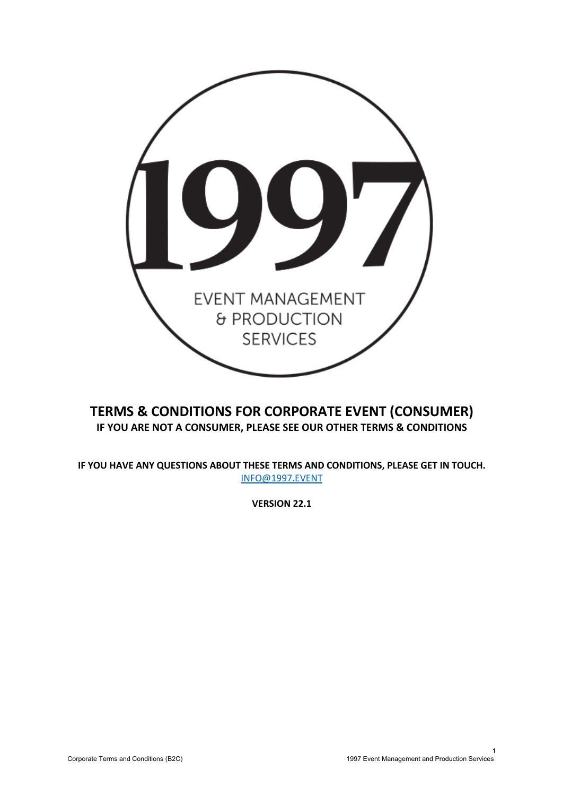

# **TERMS & CONDITIONS FOR CORPORATE EVENT (CONSUMER) IF YOU ARE NOT A CONSUMER, PLEASE SEE OUR OTHER TERMS & CONDITIONS**

**IF YOU HAVE ANY QUESTIONS ABOUT THESE TERMS AND CONDITIONS, PLEASE GET IN TOUCH.**  INFO@1997.EVENT

**VERSION 22.1**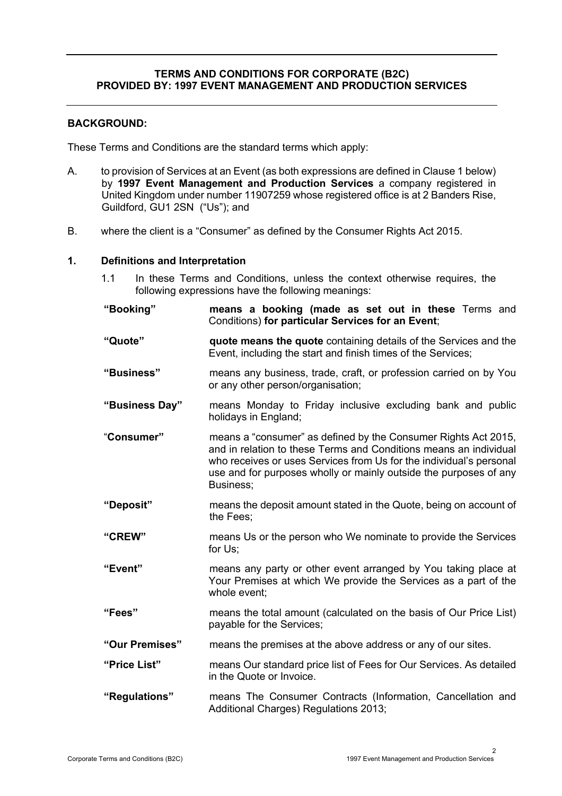### **TERMS AND CONDITIONS FOR CORPORATE (B2C) PROVIDED BY: 1997 EVENT MANAGEMENT AND PRODUCTION SERVICES**

### **BACKGROUND:**

These Terms and Conditions are the standard terms which apply:

- A. to provision of Services at an Event (as both expressions are defined in Clause 1 below) by **1997 Event Management and Production Services** a company registered in United Kingdom under number 11907259 whose registered office is at 2 Banders Rise, Guildford, GU1 2SN ("Us"); and
- B. where the client is a "Consumer" as defined by the Consumer Rights Act 2015.

### **1. Definitions and Interpretation**

1.1 In these Terms and Conditions, unless the context otherwise requires, the following expressions have the following meanings:

**"Booking" means a booking (made as set out in these** Terms and Conditions) **for particular Services for an Event**;

- **"Quote" quote means the quote** containing details of the Services and the Event, including the start and finish times of the Services;
- **"Business"** means any business, trade, craft, or profession carried on by You or any other person/organisation;
- **"Business Day"** means Monday to Friday inclusive excluding bank and public holidays in England;
- "**Consumer"** means a "consumer" as defined by the Consumer Rights Act 2015, and in relation to these Terms and Conditions means an individual who receives or uses Services from Us for the individual's personal use and for purposes wholly or mainly outside the purposes of any Business;
- **"Deposit"** means the deposit amount stated in the Quote, being on account of the Fees;
- **"CREW"** means Us or the person who We nominate to provide the Services for Us;
- **"Event"** means any party or other event arranged by You taking place at Your Premises at which We provide the Services as a part of the whole event;
- **"Fees"** means the total amount (calculated on the basis of Our Price List) payable for the Services;
- **"Our Premises"** means the premises at the above address or any of our sites.
- **"Price List"** means Our standard price list of Fees for Our Services. As detailed in the Quote or Invoice.
- **"Regulations"** means The Consumer Contracts (Information, Cancellation and Additional Charges) Regulations 2013;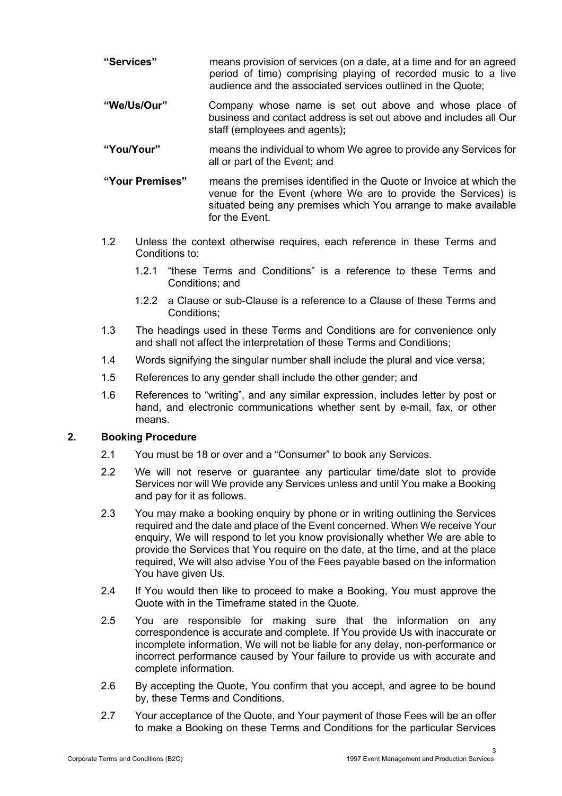- **"Services"** means provision of services (on a date, at a time and for an agreed period of time) comprising playing of recorded music to a live audience and the associated services outlined in the Quote;
- **"We/Us/Our"** Company whose name is set out above and whose place of business and contact address is set out above and includes all Our staff (employees and agents)**;**
- **"You/Your"** means the individual to whom We agree to provide any Services for all or part of the Event; and
- **"Your Premises"** means the premises identified in the Quote or Invoice at which the venue for the Event (where We are to provide the Services) is situated being any premises which You arrange to make available for the Event.
- 1.2 Unless the context otherwise requires, each reference in these Terms and Conditions to:
	- 1.2.1 "these Terms and Conditions" is a reference to these Terms and Conditions; and
	- 1.2.2 a Clause or sub-Clause is a reference to a Clause of these Terms and Conditions;
- 1.3 The headings used in these Terms and Conditions are for convenience only and shall not affect the interpretation of these Terms and Conditions;
- 1.4 Words signifying the singular number shall include the plural and vice versa;
- 1.5 References to any gender shall include the other gender; and
- 1.6 References to "writing", and any similar expression, includes letter by post or hand, and electronic communications whether sent by e-mail, fax, or other means.

# **2. Booking Procedure**

- 2.1 You must be 18 or over and a "Consumer" to book any Services.
- 2.2 We will not reserve or guarantee any particular time/date slot to provide Services nor will We provide any Services unless and until You make a Booking and pay for it as follows.
- 2.3 You may make a booking enquiry by phone or in writing outlining the Services required and the date and place of the Event concerned. When We receive Your enquiry, We will respond to let you know provisionally whether We are able to provide the Services that You require on the date, at the time, and at the place required, We will also advise You of the Fees payable based on the information You have given Us.
- 2.4 If You would then like to proceed to make a Booking, You must approve the Quote with in the Timeframe stated in the Quote.
- 2.5 You are responsible for making sure that the information on any correspondence is accurate and complete. If You provide Us with inaccurate or incomplete information, We will not be liable for any delay, non-performance or incorrect performance caused by Your failure to provide us with accurate and complete information.
- 2.6 By accepting the Quote, You confirm that you accept, and agree to be bound by, these Terms and Conditions.
- 2.7 Your acceptance of the Quote, and Your payment of those Fees will be an offer to make a Booking on these Terms and Conditions for the particular Services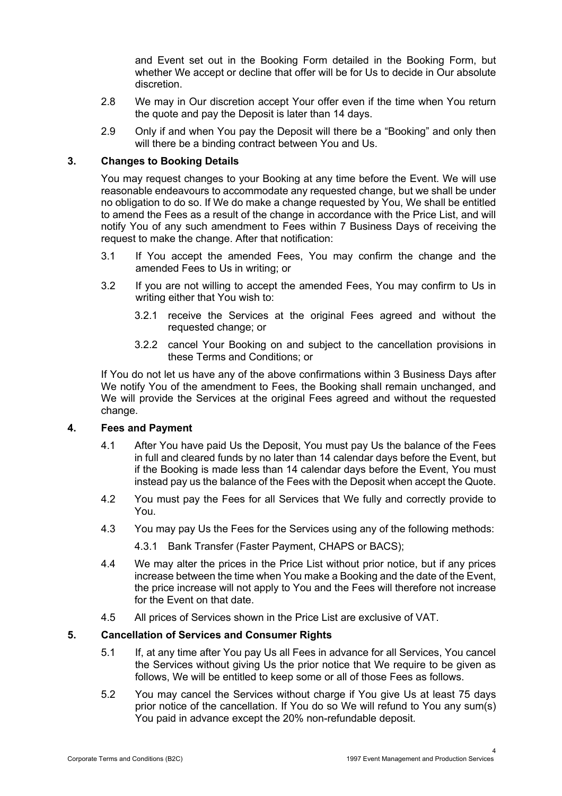and Event set out in the Booking Form detailed in the Booking Form, but whether We accept or decline that offer will be for Us to decide in Our absolute discretion.

- 2.8 We may in Our discretion accept Your offer even if the time when You return the quote and pay the Deposit is later than 14 days.
- 2.9 Only if and when You pay the Deposit will there be a "Booking" and only then will there be a binding contract between You and Us.

# **3. Changes to Booking Details**

You may request changes to your Booking at any time before the Event. We will use reasonable endeavours to accommodate any requested change, but we shall be under no obligation to do so. If We do make a change requested by You, We shall be entitled to amend the Fees as a result of the change in accordance with the Price List, and will notify You of any such amendment to Fees within 7 Business Days of receiving the request to make the change. After that notification:

- 3.1 If You accept the amended Fees, You may confirm the change and the amended Fees to Us in writing; or
- 3.2 If you are not willing to accept the amended Fees, You may confirm to Us in writing either that You wish to:
	- 3.2.1 receive the Services at the original Fees agreed and without the requested change; or
	- 3.2.2 cancel Your Booking on and subject to the cancellation provisions in these Terms and Conditions; or

If You do not let us have any of the above confirmations within 3 Business Days after We notify You of the amendment to Fees, the Booking shall remain unchanged, and We will provide the Services at the original Fees agreed and without the requested change.

### **4. Fees and Payment**

- 4.1 After You have paid Us the Deposit, You must pay Us the balance of the Fees in full and cleared funds by no later than 14 calendar days before the Event, but if the Booking is made less than 14 calendar days before the Event, You must instead pay us the balance of the Fees with the Deposit when accept the Quote.
- 4.2 You must pay the Fees for all Services that We fully and correctly provide to You.
- 4.3 You may pay Us the Fees for the Services using any of the following methods:

4.3.1 Bank Transfer (Faster Payment, CHAPS or BACS);

- 4.4 We may alter the prices in the Price List without prior notice, but if any prices increase between the time when You make a Booking and the date of the Event, the price increase will not apply to You and the Fees will therefore not increase for the Event on that date.
- 4.5 All prices of Services shown in the Price List are exclusive of VAT.

### **5. Cancellation of Services and Consumer Rights**

- 5.1 If, at any time after You pay Us all Fees in advance for all Services, You cancel the Services without giving Us the prior notice that We require to be given as follows, We will be entitled to keep some or all of those Fees as follows.
- 5.2 You may cancel the Services without charge if You give Us at least 75 days prior notice of the cancellation. If You do so We will refund to You any sum(s) You paid in advance except the 20% non-refundable deposit.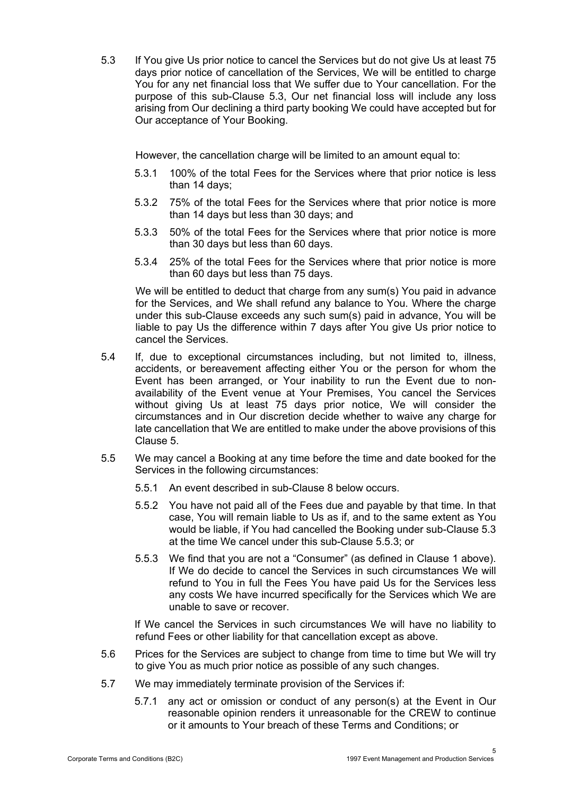5.3 If You give Us prior notice to cancel the Services but do not give Us at least 75 days prior notice of cancellation of the Services, We will be entitled to charge You for any net financial loss that We suffer due to Your cancellation. For the purpose of this sub-Clause 5.3, Our net financial loss will include any loss arising from Our declining a third party booking We could have accepted but for Our acceptance of Your Booking.

However, the cancellation charge will be limited to an amount equal to:

- 5.3.1 100% of the total Fees for the Services where that prior notice is less than 14 days;
- 5.3.2 75% of the total Fees for the Services where that prior notice is more than 14 days but less than 30 days; and
- 5.3.3 50% of the total Fees for the Services where that prior notice is more than 30 days but less than 60 days.
- 5.3.4 25% of the total Fees for the Services where that prior notice is more than 60 days but less than 75 days.

We will be entitled to deduct that charge from any sum(s) You paid in advance for the Services, and We shall refund any balance to You. Where the charge under this sub-Clause exceeds any such sum(s) paid in advance, You will be liable to pay Us the difference within 7 days after You give Us prior notice to cancel the Services.

- 5.4 If, due to exceptional circumstances including, but not limited to, illness, accidents, or bereavement affecting either You or the person for whom the Event has been arranged, or Your inability to run the Event due to nonavailability of the Event venue at Your Premises, You cancel the Services without giving Us at least 75 days prior notice, We will consider the circumstances and in Our discretion decide whether to waive any charge for late cancellation that We are entitled to make under the above provisions of this Clause 5.
- 5.5 We may cancel a Booking at any time before the time and date booked for the Services in the following circumstances:
	- 5.5.1 An event described in sub-Clause 8 below occurs.
	- 5.5.2 You have not paid all of the Fees due and payable by that time. In that case, You will remain liable to Us as if, and to the same extent as You would be liable, if You had cancelled the Booking under sub-Clause 5.3 at the time We cancel under this sub-Clause 5.5.3; or
	- 5.5.3 We find that you are not a "Consumer" (as defined in Clause 1 above). If We do decide to cancel the Services in such circumstances We will refund to You in full the Fees You have paid Us for the Services less any costs We have incurred specifically for the Services which We are unable to save or recover.

If We cancel the Services in such circumstances We will have no liability to refund Fees or other liability for that cancellation except as above.

- 5.6 Prices for the Services are subject to change from time to time but We will try to give You as much prior notice as possible of any such changes.
- 5.7 We may immediately terminate provision of the Services if:
	- 5.7.1 any act or omission or conduct of any person(s) at the Event in Our reasonable opinion renders it unreasonable for the CREW to continue or it amounts to Your breach of these Terms and Conditions; or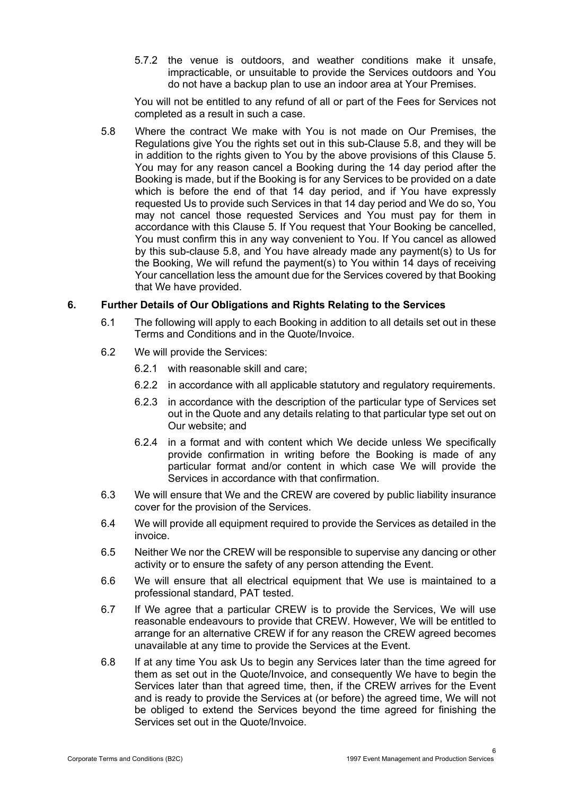5.7.2 the venue is outdoors, and weather conditions make it unsafe, impracticable, or unsuitable to provide the Services outdoors and You do not have a backup plan to use an indoor area at Your Premises.

You will not be entitled to any refund of all or part of the Fees for Services not completed as a result in such a case.

5.8 Where the contract We make with You is not made on Our Premises, the Regulations give You the rights set out in this sub-Clause 5.8, and they will be in addition to the rights given to You by the above provisions of this Clause 5. You may for any reason cancel a Booking during the 14 day period after the Booking is made, but if the Booking is for any Services to be provided on a date which is before the end of that 14 day period, and if You have expressly requested Us to provide such Services in that 14 day period and We do so, You may not cancel those requested Services and You must pay for them in accordance with this Clause 5. If You request that Your Booking be cancelled, You must confirm this in any way convenient to You. If You cancel as allowed by this sub-clause 5.8, and You have already made any payment(s) to Us for the Booking, We will refund the payment(s) to You within 14 days of receiving Your cancellation less the amount due for the Services covered by that Booking that We have provided.

### **6. Further Details of Our Obligations and Rights Relating to the Services**

- 6.1 The following will apply to each Booking in addition to all details set out in these Terms and Conditions and in the Quote/Invoice.
- 6.2 We will provide the Services:
	- 6.2.1 with reasonable skill and care;
	- 6.2.2 in accordance with all applicable statutory and regulatory requirements.
	- 6.2.3 in accordance with the description of the particular type of Services set out in the Quote and any details relating to that particular type set out on Our website; and
	- 6.2.4 in a format and with content which We decide unless We specifically provide confirmation in writing before the Booking is made of any particular format and/or content in which case We will provide the Services in accordance with that confirmation.
- 6.3 We will ensure that We and the CREW are covered by public liability insurance cover for the provision of the Services.
- 6.4 We will provide all equipment required to provide the Services as detailed in the invoice.
- 6.5 Neither We nor the CREW will be responsible to supervise any dancing or other activity or to ensure the safety of any person attending the Event.
- 6.6 We will ensure that all electrical equipment that We use is maintained to a professional standard, PAT tested.
- 6.7 If We agree that a particular CREW is to provide the Services, We will use reasonable endeavours to provide that CREW. However, We will be entitled to arrange for an alternative CREW if for any reason the CREW agreed becomes unavailable at any time to provide the Services at the Event.
- 6.8 If at any time You ask Us to begin any Services later than the time agreed for them as set out in the Quote/Invoice, and consequently We have to begin the Services later than that agreed time, then, if the CREW arrives for the Event and is ready to provide the Services at (or before) the agreed time, We will not be obliged to extend the Services beyond the time agreed for finishing the Services set out in the Quote/Invoice.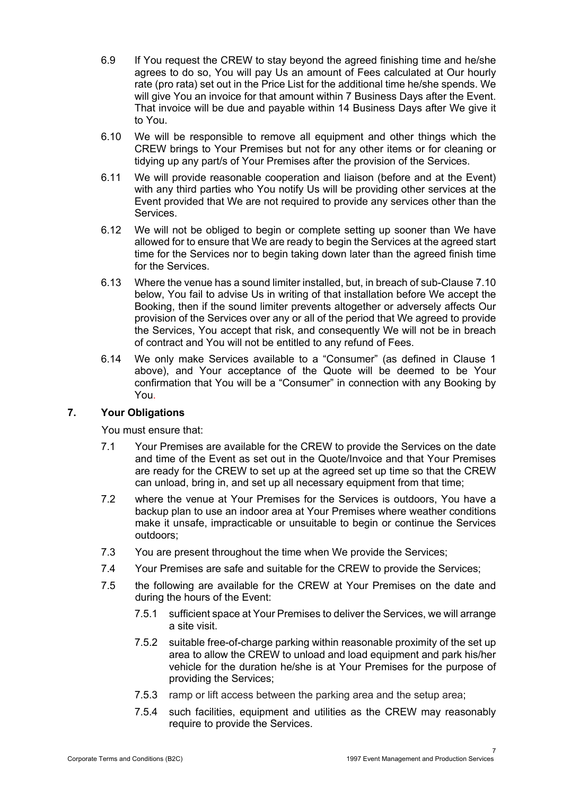- 6.9 If You request the CREW to stay beyond the agreed finishing time and he/she agrees to do so, You will pay Us an amount of Fees calculated at Our hourly rate (pro rata) set out in the Price List for the additional time he/she spends. We will give You an invoice for that amount within 7 Business Days after the Event. That invoice will be due and payable within 14 Business Days after We give it to You.
- 6.10 We will be responsible to remove all equipment and other things which the CREW brings to Your Premises but not for any other items or for cleaning or tidying up any part/s of Your Premises after the provision of the Services.
- 6.11 We will provide reasonable cooperation and liaison (before and at the Event) with any third parties who You notify Us will be providing other services at the Event provided that We are not required to provide any services other than the **Services**
- 6.12 We will not be obliged to begin or complete setting up sooner than We have allowed for to ensure that We are ready to begin the Services at the agreed start time for the Services nor to begin taking down later than the agreed finish time for the Services.
- 6.13 Where the venue has a sound limiter installed, but, in breach of sub-Clause 7.10 below, You fail to advise Us in writing of that installation before We accept the Booking, then if the sound limiter prevents altogether or adversely affects Our provision of the Services over any or all of the period that We agreed to provide the Services, You accept that risk, and consequently We will not be in breach of contract and You will not be entitled to any refund of Fees.
- 6.14 We only make Services available to a "Consumer" (as defined in Clause 1 above), and Your acceptance of the Quote will be deemed to be Your confirmation that You will be a "Consumer" in connection with any Booking by You.

# **7. Your Obligations**

You must ensure that:

- 7.1 Your Premises are available for the CREW to provide the Services on the date and time of the Event as set out in the Quote/Invoice and that Your Premises are ready for the CREW to set up at the agreed set up time so that the CREW can unload, bring in, and set up all necessary equipment from that time;
- 7.2 where the venue at Your Premises for the Services is outdoors, You have a backup plan to use an indoor area at Your Premises where weather conditions make it unsafe, impracticable or unsuitable to begin or continue the Services outdoors;
- 7.3 You are present throughout the time when We provide the Services;
- 7.4 Your Premises are safe and suitable for the CREW to provide the Services;
- 7.5 the following are available for the CREW at Your Premises on the date and during the hours of the Event:
	- 7.5.1 sufficient space at Your Premises to deliver the Services, we will arrange a site visit.
	- 7.5.2 suitable free-of-charge parking within reasonable proximity of the set up area to allow the CREW to unload and load equipment and park his/her vehicle for the duration he/she is at Your Premises for the purpose of providing the Services;
	- 7.5.3 ramp or lift access between the parking area and the setup area;
	- 7.5.4 such facilities, equipment and utilities as the CREW may reasonably require to provide the Services.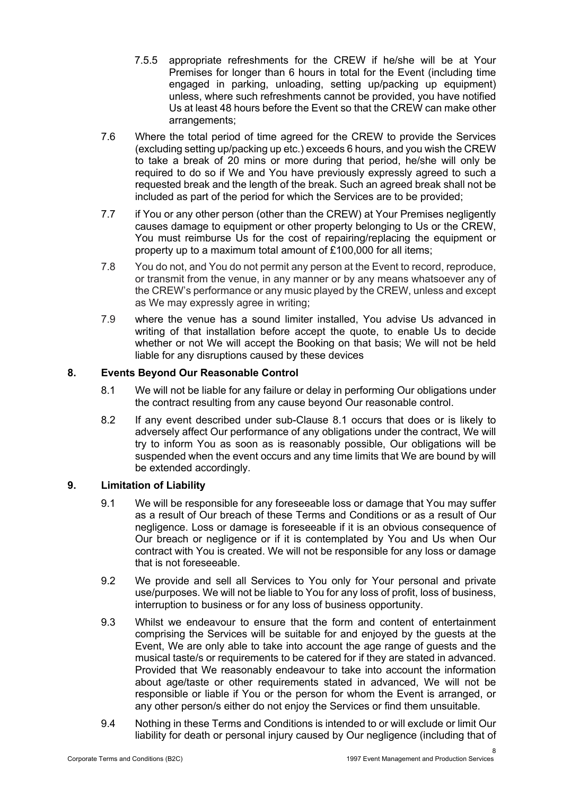- 7.5.5 appropriate refreshments for the CREW if he/she will be at Your Premises for longer than 6 hours in total for the Event (including time engaged in parking, unloading, setting up/packing up equipment) unless, where such refreshments cannot be provided, you have notified Us at least 48 hours before the Event so that the CREW can make other arrangements;
- 7.6 Where the total period of time agreed for the CREW to provide the Services (excluding setting up/packing up etc.) exceeds 6 hours, and you wish the CREW to take a break of 20 mins or more during that period, he/she will only be required to do so if We and You have previously expressly agreed to such a requested break and the length of the break. Such an agreed break shall not be included as part of the period for which the Services are to be provided;
- 7.7 if You or any other person (other than the CREW) at Your Premises negligently causes damage to equipment or other property belonging to Us or the CREW, You must reimburse Us for the cost of repairing/replacing the equipment or property up to a maximum total amount of £100,000 for all items;
- 7.8 You do not, and You do not permit any person at the Event to record, reproduce, or transmit from the venue, in any manner or by any means whatsoever any of the CREW's performance or any music played by the CREW, unless and except as We may expressly agree in writing;
- 7.9 where the venue has a sound limiter installed, You advise Us advanced in writing of that installation before accept the quote, to enable Us to decide whether or not We will accept the Booking on that basis; We will not be held liable for any disruptions caused by these devices

# **8. Events Beyond Our Reasonable Control**

- 8.1 We will not be liable for any failure or delay in performing Our obligations under the contract resulting from any cause beyond Our reasonable control.
- 8.2 If any event described under sub-Clause 8.1 occurs that does or is likely to adversely affect Our performance of any obligations under the contract, We will try to inform You as soon as is reasonably possible, Our obligations will be suspended when the event occurs and any time limits that We are bound by will be extended accordingly.

# **9. Limitation of Liability**

- 9.1 We will be responsible for any foreseeable loss or damage that You may suffer as a result of Our breach of these Terms and Conditions or as a result of Our negligence. Loss or damage is foreseeable if it is an obvious consequence of Our breach or negligence or if it is contemplated by You and Us when Our contract with You is created. We will not be responsible for any loss or damage that is not foreseeable.
- 9.2 We provide and sell all Services to You only for Your personal and private use/purposes. We will not be liable to You for any loss of profit, loss of business, interruption to business or for any loss of business opportunity.
- 9.3 Whilst we endeavour to ensure that the form and content of entertainment comprising the Services will be suitable for and enjoyed by the guests at the Event, We are only able to take into account the age range of guests and the musical taste/s or requirements to be catered for if they are stated in advanced. Provided that We reasonably endeavour to take into account the information about age/taste or other requirements stated in advanced, We will not be responsible or liable if You or the person for whom the Event is arranged, or any other person/s either do not enjoy the Services or find them unsuitable.
- 9.4 Nothing in these Terms and Conditions is intended to or will exclude or limit Our liability for death or personal injury caused by Our negligence (including that of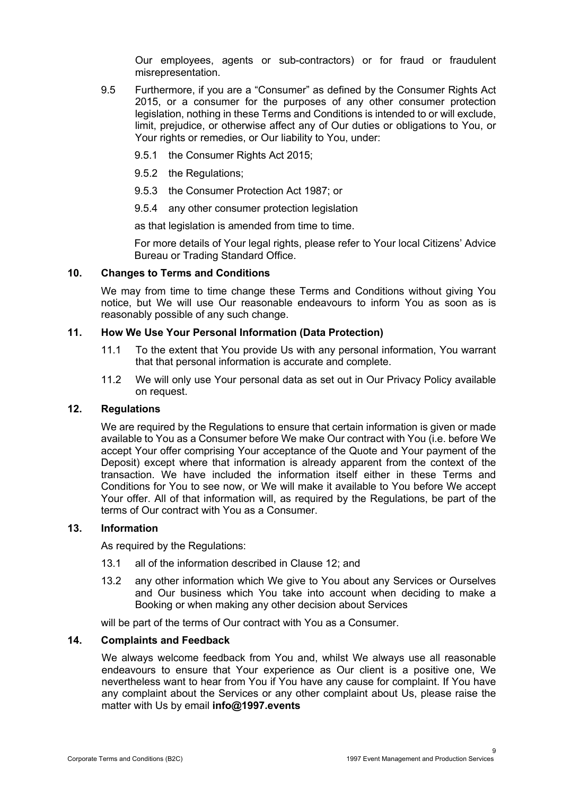Our employees, agents or sub-contractors) or for fraud or fraudulent misrepresentation.

- 9.5 Furthermore, if you are a "Consumer" as defined by the Consumer Rights Act 2015, or a consumer for the purposes of any other consumer protection legislation, nothing in these Terms and Conditions is intended to or will exclude, limit, prejudice, or otherwise affect any of Our duties or obligations to You, or Your rights or remedies, or Our liability to You, under:
	- 9.5.1 the Consumer Rights Act 2015;
	- 9.5.2 the Regulations;
	- 9.5.3 the Consumer Protection Act 1987; or
	- 9.5.4 any other consumer protection legislation

as that legislation is amended from time to time.

For more details of Your legal rights, please refer to Your local Citizens' Advice Bureau or Trading Standard Office.

### **10. Changes to Terms and Conditions**

We may from time to time change these Terms and Conditions without giving You notice, but We will use Our reasonable endeavours to inform You as soon as is reasonably possible of any such change.

### **11. How We Use Your Personal Information (Data Protection)**

- 11.1 To the extent that You provide Us with any personal information, You warrant that that personal information is accurate and complete.
- 11.2 We will only use Your personal data as set out in Our Privacy Policy available on request.

### **12. Regulations**

We are required by the Regulations to ensure that certain information is given or made available to You as a Consumer before We make Our contract with You (i.e. before We accept Your offer comprising Your acceptance of the Quote and Your payment of the Deposit) except where that information is already apparent from the context of the transaction. We have included the information itself either in these Terms and Conditions for You to see now, or We will make it available to You before We accept Your offer. All of that information will, as required by the Regulations, be part of the terms of Our contract with You as a Consumer.

### **13. Information**

As required by the Regulations:

- 13.1 all of the information described in Clause 12; and
- 13.2 any other information which We give to You about any Services or Ourselves and Our business which You take into account when deciding to make a Booking or when making any other decision about Services

will be part of the terms of Our contract with You as a Consumer.

### **14. Complaints and Feedback**

We always welcome feedback from You and, whilst We always use all reasonable endeavours to ensure that Your experience as Our client is a positive one, We nevertheless want to hear from You if You have any cause for complaint. If You have any complaint about the Services or any other complaint about Us, please raise the matter with Us by email **info@1997.events**